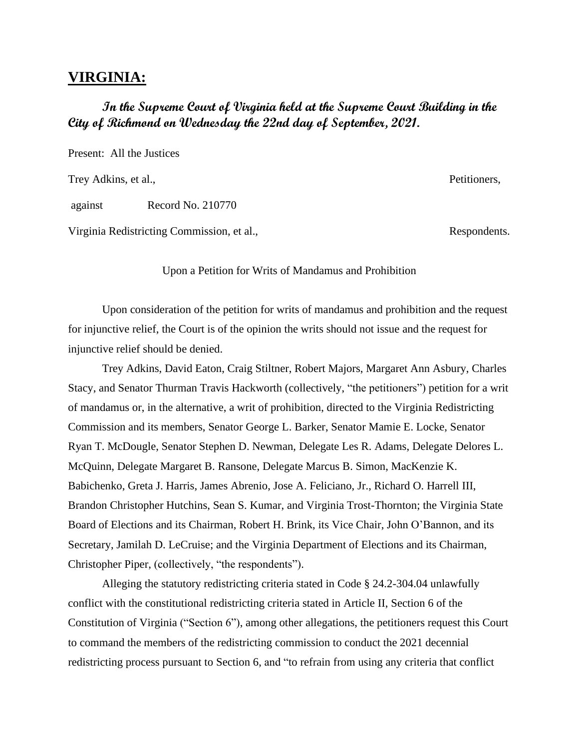## **VIRGINIA:**

# **In the Supreme Court of Virginia held at the Supreme Court Building in the City of Richmond on Wednesday the 22nd day of September, 2021.**

Present: All the Justices

Trey Adkins, et al., Petitioners, Petitioners, Petitioners, Petitioners, Petitioners, Petitioners, Petitioners, Petitioners, Petitioners, Petitioners, Petitioners, Petitioners, Petitioners, Petitioners, Petitioners, Petiti

against Record No. 210770

Virginia Redistricting Commission, et al., Respondents.

Upon a Petition for Writs of Mandamus and Prohibition

Upon consideration of the petition for writs of mandamus and prohibition and the request for injunctive relief, the Court is of the opinion the writs should not issue and the request for injunctive relief should be denied.

Trey Adkins, David Eaton, Craig Stiltner, Robert Majors, Margaret Ann Asbury, Charles Stacy, and Senator Thurman Travis Hackworth (collectively, "the petitioners") petition for a writ of mandamus or, in the alternative, a writ of prohibition, directed to the Virginia Redistricting Commission and its members, Senator George L. Barker, Senator Mamie E. Locke, Senator Ryan T. McDougle, Senator Stephen D. Newman, Delegate Les R. Adams, Delegate Delores L. McQuinn, Delegate Margaret B. Ransone, Delegate Marcus B. Simon, MacKenzie K. Babichenko, Greta J. Harris, James Abrenio, Jose A. Feliciano, Jr., Richard O. Harrell III, Brandon Christopher Hutchins, Sean S. Kumar, and Virginia Trost-Thornton; the Virginia State Board of Elections and its Chairman, Robert H. Brink, its Vice Chair, John O'Bannon, and its Secretary, Jamilah D. LeCruise; and the Virginia Department of Elections and its Chairman, Christopher Piper, (collectively, "the respondents").

Alleging the statutory redistricting criteria stated in Code § 24.2-304.04 unlawfully conflict with the constitutional redistricting criteria stated in Article II, Section 6 of the Constitution of Virginia ("Section 6"), among other allegations, the petitioners request this Court to command the members of the redistricting commission to conduct the 2021 decennial redistricting process pursuant to Section 6, and "to refrain from using any criteria that conflict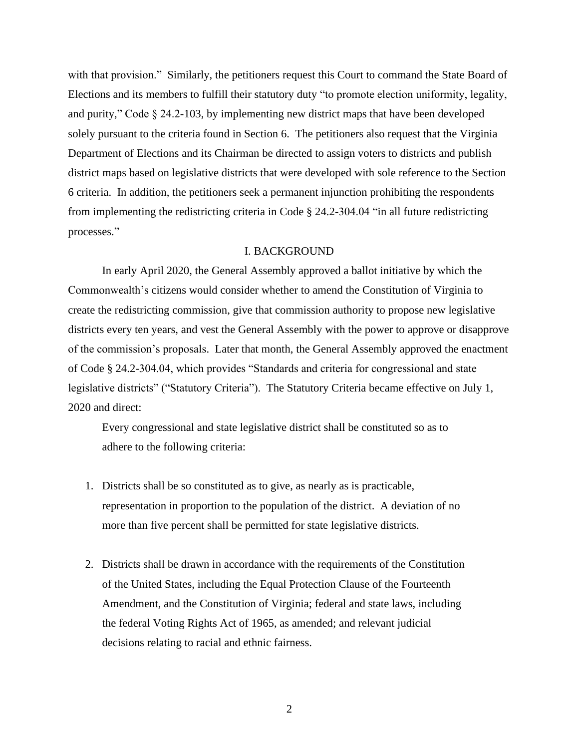with that provision." Similarly, the petitioners request this Court to command the State Board of Elections and its members to fulfill their statutory duty "to promote election uniformity, legality, and purity," Code § 24.2-103, by implementing new district maps that have been developed solely pursuant to the criteria found in Section 6. The petitioners also request that the Virginia Department of Elections and its Chairman be directed to assign voters to districts and publish district maps based on legislative districts that were developed with sole reference to the Section 6 criteria. In addition, the petitioners seek a permanent injunction prohibiting the respondents from implementing the redistricting criteria in Code § 24.2-304.04 "in all future redistricting processes."

#### I. BACKGROUND

In early April 2020, the General Assembly approved a ballot initiative by which the Commonwealth's citizens would consider whether to amend the Constitution of Virginia to create the redistricting commission, give that commission authority to propose new legislative districts every ten years, and vest the General Assembly with the power to approve or disapprove of the commission's proposals. Later that month, the General Assembly approved the enactment of Code § 24.2-304.04, which provides "Standards and criteria for congressional and state legislative districts" ("Statutory Criteria"). The Statutory Criteria became effective on July 1, 2020 and direct:

Every congressional and state legislative district shall be constituted so as to adhere to the following criteria:

- 1. Districts shall be so constituted as to give, as nearly as is practicable, representation in proportion to the population of the district. A deviation of no more than five percent shall be permitted for state legislative districts.
- 2. Districts shall be drawn in accordance with the requirements of the Constitution of the United States, including the Equal Protection Clause of the Fourteenth Amendment, and the Constitution of Virginia; federal and state laws, including the federal Voting Rights Act of 1965, as amended; and relevant judicial decisions relating to racial and ethnic fairness.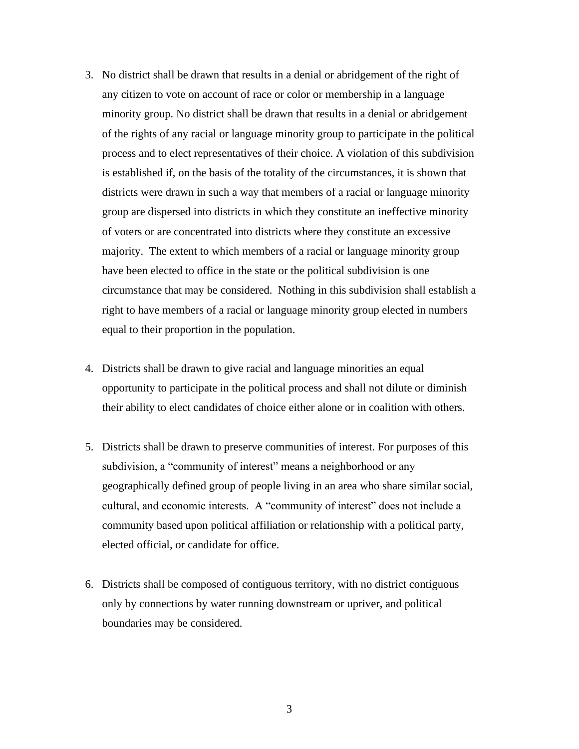- 3. No district shall be drawn that results in a denial or abridgement of the right of any citizen to vote on account of race or color or membership in a language minority group. No district shall be drawn that results in a denial or abridgement of the rights of any racial or language minority group to participate in the political process and to elect representatives of their choice. A violation of this subdivision is established if, on the basis of the totality of the circumstances, it is shown that districts were drawn in such a way that members of a racial or language minority group are dispersed into districts in which they constitute an ineffective minority of voters or are concentrated into districts where they constitute an excessive majority. The extent to which members of a racial or language minority group have been elected to office in the state or the political subdivision is one circumstance that may be considered. Nothing in this subdivision shall establish a right to have members of a racial or language minority group elected in numbers equal to their proportion in the population.
- 4. Districts shall be drawn to give racial and language minorities an equal opportunity to participate in the political process and shall not dilute or diminish their ability to elect candidates of choice either alone or in coalition with others.
- 5. Districts shall be drawn to preserve communities of interest. For purposes of this subdivision, a "community of interest" means a neighborhood or any geographically defined group of people living in an area who share similar social, cultural, and economic interests. A "community of interest" does not include a community based upon political affiliation or relationship with a political party, elected official, or candidate for office.
- 6. Districts shall be composed of contiguous territory, with no district contiguous only by connections by water running downstream or upriver, and political boundaries may be considered.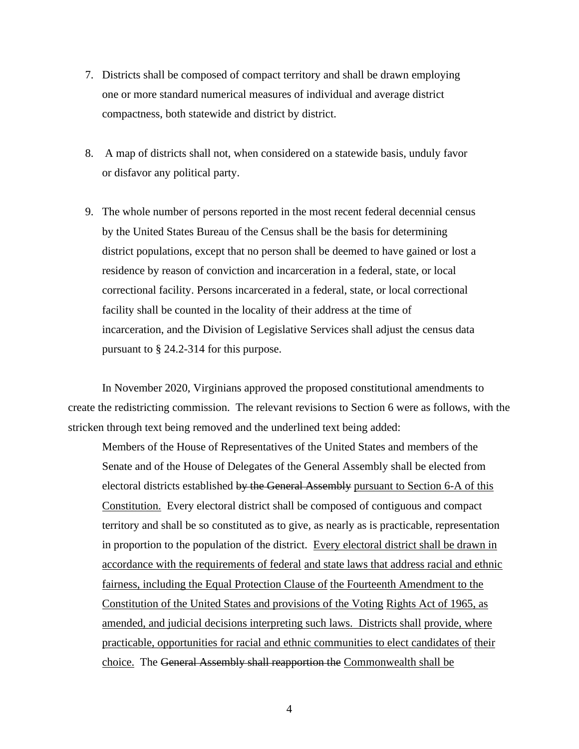- 7. Districts shall be composed of compact territory and shall be drawn employing one or more standard numerical measures of individual and average district compactness, both statewide and district by district.
- 8. A map of districts shall not, when considered on a statewide basis, unduly favor or disfavor any political party.
- 9. The whole number of persons reported in the most recent federal decennial census by the United States Bureau of the Census shall be the basis for determining district populations, except that no person shall be deemed to have gained or lost a residence by reason of conviction and incarceration in a federal, state, or local correctional facility. Persons incarcerated in a federal, state, or local correctional facility shall be counted in the locality of their address at the time of incarceration, and the Division of Legislative Services shall adjust the census data pursuant to § 24.2-314 for this purpose.

In November 2020, Virginians approved the proposed constitutional amendments to create the redistricting commission. The relevant revisions to Section 6 were as follows, with the stricken through text being removed and the underlined text being added:

Members of the House of Representatives of the United States and members of the Senate and of the House of Delegates of the General Assembly shall be elected from electoral districts established by the General Assembly pursuant to Section 6-A of this Constitution. Every electoral district shall be composed of contiguous and compact territory and shall be so constituted as to give, as nearly as is practicable, representation in proportion to the population of the district. Every electoral district shall be drawn in accordance with the requirements of federal and state laws that address racial and ethnic fairness, including the Equal Protection Clause of the Fourteenth Amendment to the Constitution of the United States and provisions of the Voting Rights Act of 1965, as amended, and judicial decisions interpreting such laws. Districts shall provide, where practicable, opportunities for racial and ethnic communities to elect candidates of their choice. The General Assembly shall reapportion the Commonwealth shall be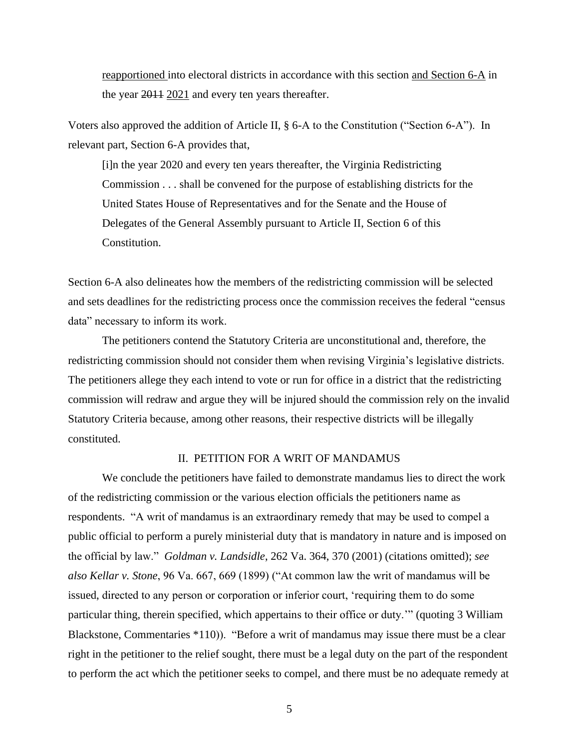reapportioned into electoral districts in accordance with this section and Section 6-A in the year 2011 2021 and every ten years thereafter.

Voters also approved the addition of Article II, § 6-A to the Constitution ("Section 6-A"). In relevant part, Section 6-A provides that,

[i]n the year 2020 and every ten years thereafter, the Virginia Redistricting Commission . . . shall be convened for the purpose of establishing districts for the United States House of Representatives and for the Senate and the House of Delegates of the General Assembly pursuant to Article II, Section 6 of this Constitution.

Section 6-A also delineates how the members of the redistricting commission will be selected and sets deadlines for the redistricting process once the commission receives the federal "census data" necessary to inform its work.

The petitioners contend the Statutory Criteria are unconstitutional and, therefore, the redistricting commission should not consider them when revising Virginia's legislative districts. The petitioners allege they each intend to vote or run for office in a district that the redistricting commission will redraw and argue they will be injured should the commission rely on the invalid Statutory Criteria because, among other reasons, their respective districts will be illegally constituted.

#### II. PETITION FOR A WRIT OF MANDAMUS

We conclude the petitioners have failed to demonstrate mandamus lies to direct the work of the redistricting commission or the various election officials the petitioners name as respondents. "A writ of mandamus is an extraordinary remedy that may be used to compel a public official to perform a purely ministerial duty that is mandatory in nature and is imposed on the official by law." *Goldman v. Landsidle*, 262 Va. 364, 370 (2001) (citations omitted); *see also Kellar v. Stone*, 96 Va. 667, 669 (1899) ("At common law the writ of mandamus will be issued, directed to any person or corporation or inferior court, 'requiring them to do some particular thing, therein specified, which appertains to their office or duty.'" (quoting 3 William Blackstone, Commentaries \*110)). "Before a writ of mandamus may issue there must be a clear right in the petitioner to the relief sought, there must be a legal duty on the part of the respondent to perform the act which the petitioner seeks to compel, and there must be no adequate remedy at

5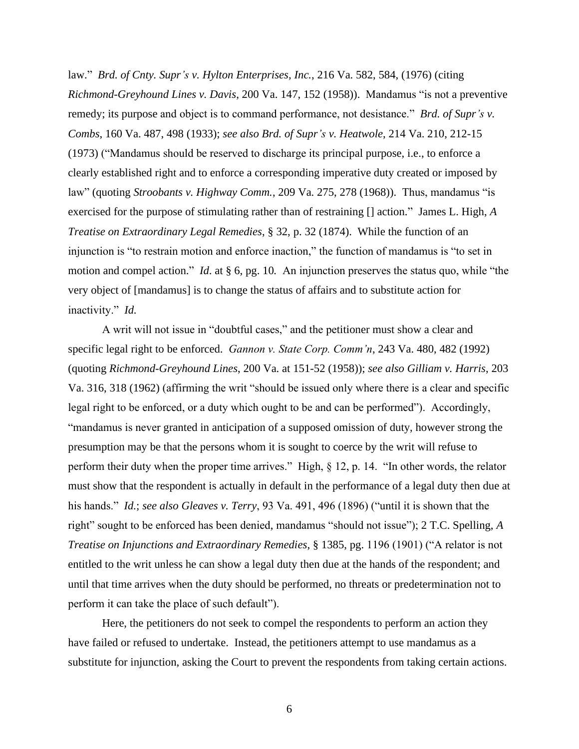law." *Brd. of Cnty. Supr's v. Hylton Enterprises, Inc.*, 216 Va. 582, 584, (1976) (citing *Richmond-Greyhound Lines v. Davis*, 200 Va. 147, 152 (1958)). Mandamus "is not a preventive remedy; its purpose and object is to command performance, not desistance." *Brd. of Supr's v. Combs*, 160 Va. 487, 498 (1933); *see also Brd. of Supr's v. Heatwole*, 214 Va. 210, 212-15 (1973) ("Mandamus should be reserved to discharge its principal purpose, i.e., to enforce a clearly established right and to enforce a corresponding imperative duty created or imposed by law" (quoting *Stroobants v. Highway Comm.*, 209 Va. 275, 278 (1968)). Thus, mandamus "is exercised for the purpose of stimulating rather than of restraining [] action." James L. High, *A Treatise on Extraordinary Legal Remedies*, § 32, p. 32 (1874). While the function of an injunction is "to restrain motion and enforce inaction," the function of mandamus is "to set in motion and compel action." *Id*. at § 6, pg. 10*.* An injunction preserves the status quo, while "the very object of [mandamus] is to change the status of affairs and to substitute action for inactivity." *Id.*

A writ will not issue in "doubtful cases," and the petitioner must show a clear and specific legal right to be enforced. *Gannon v. State Corp. Comm'n*, 243 Va. 480, 482 (1992) (quoting *Richmond-Greyhound Lines*, 200 Va. at 151-52 (1958)); *see also Gilliam v. Harris*, 203 Va. 316, 318 (1962) (affirming the writ "should be issued only where there is a clear and specific legal right to be enforced, or a duty which ought to be and can be performed"). Accordingly, "mandamus is never granted in anticipation of a supposed omission of duty, however strong the presumption may be that the persons whom it is sought to coerce by the writ will refuse to perform their duty when the proper time arrives." High, § 12, p. 14. "In other words, the relator must show that the respondent is actually in default in the performance of a legal duty then due at his hands." *Id.*; *see also Gleaves v. Terry*, 93 Va. 491, 496 (1896) ("until it is shown that the right" sought to be enforced has been denied, mandamus "should not issue"); 2 T.C. Spelling, *A Treatise on Injunctions and Extraordinary Remedies*, § 1385, pg. 1196 (1901) ("A relator is not entitled to the writ unless he can show a legal duty then due at the hands of the respondent; and until that time arrives when the duty should be performed, no threats or predetermination not to perform it can take the place of such default").

Here, the petitioners do not seek to compel the respondents to perform an action they have failed or refused to undertake. Instead, the petitioners attempt to use mandamus as a substitute for injunction, asking the Court to prevent the respondents from taking certain actions.

6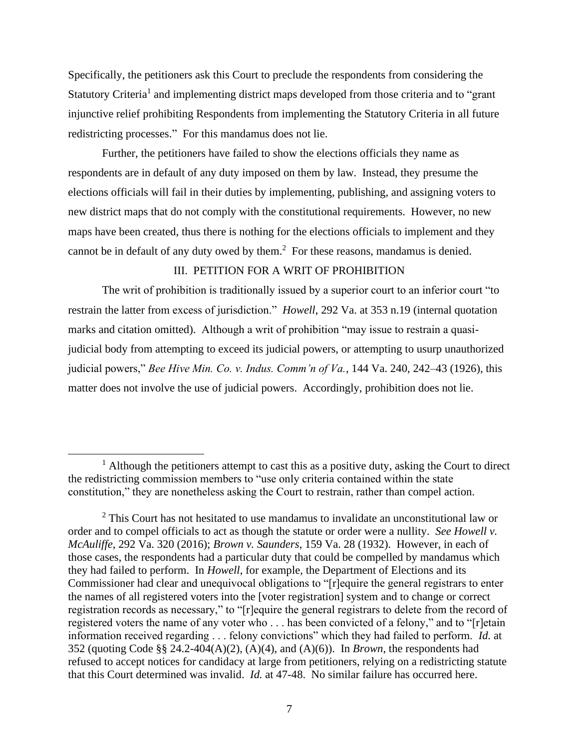Specifically, the petitioners ask this Court to preclude the respondents from considering the Statutory Criteria<sup>1</sup> and implementing district maps developed from those criteria and to "grant injunctive relief prohibiting Respondents from implementing the Statutory Criteria in all future redistricting processes." For this mandamus does not lie.

Further, the petitioners have failed to show the elections officials they name as respondents are in default of any duty imposed on them by law. Instead, they presume the elections officials will fail in their duties by implementing, publishing, and assigning voters to new district maps that do not comply with the constitutional requirements. However, no new maps have been created, thus there is nothing for the elections officials to implement and they cannot be in default of any duty owed by them. $<sup>2</sup>$  For these reasons, mandamus is denied.</sup>

## III. PETITION FOR A WRIT OF PROHIBITION

The writ of prohibition is traditionally issued by a superior court to an inferior court "to restrain the latter from excess of jurisdiction." *Howell*, 292 Va. at 353 n.19 (internal quotation marks and citation omitted). Although a writ of prohibition "may issue to restrain a quasijudicial body from attempting to exceed its judicial powers, or attempting to usurp unauthorized judicial powers," *Bee Hive Min. Co. v. Indus. Comm'n of Va.*, 144 Va. 240, 242–43 (1926), this matter does not involve the use of judicial powers. Accordingly, prohibition does not lie.

 $<sup>1</sup>$  Although the petitioners attempt to cast this as a positive duty, asking the Court to direct</sup> the redistricting commission members to "use only criteria contained within the state constitution," they are nonetheless asking the Court to restrain, rather than compel action.

 $2$  This Court has not hesitated to use mandamus to invalidate an unconstitutional law or order and to compel officials to act as though the statute or order were a nullity. *See Howell v. McAuliffe*, 292 Va. 320 (2016); *Brown v. Saunders*, 159 Va. 28 (1932). However, in each of those cases, the respondents had a particular duty that could be compelled by mandamus which they had failed to perform. In *Howell*, for example, the Department of Elections and its Commissioner had clear and unequivocal obligations to "[r]equire the general registrars to enter the names of all registered voters into the [voter registration] system and to change or correct registration records as necessary," to "[r]equire the general registrars to delete from the record of registered voters the name of any voter who . . . has been convicted of a felony," and to "[r]etain information received regarding . . . felony convictions" which they had failed to perform. *Id.* at 352 (quoting Code §§ 24.2-404(A)(2), (A)(4), and (A)(6)). In *Brown*, the respondents had refused to accept notices for candidacy at large from petitioners, relying on a redistricting statute that this Court determined was invalid. *Id.* at 47-48. No similar failure has occurred here.